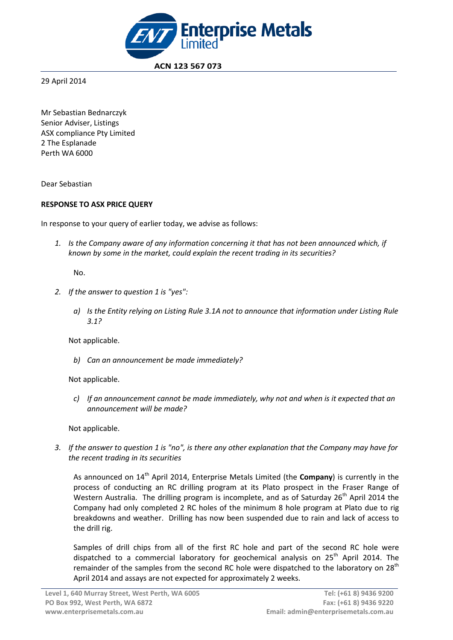

 **ACN 123 567 073**

29 April 2014

Mr Sebastian Bednarczyk Senior Adviser, Listings ASX compliance Pty Limited 2 The Esplanade Perth WA 6000

Dear Sebastian

# **RESPONSE TO ASX PRICE QUERY**

In response to your query of earlier today, we advise as follows:

*1. Is the Company aware of any information concerning it that has not been announced which, if known by some in the market, could explain the recent trading in its securities?*

No.

- *2. If the answer to question 1 is "yes":*
	- *a) Is the Entity relying on Listing Rule 3.1A not to announce that information under Listing Rule 3.1?*

Not applicable.

*b) Can an announcement be made immediately?*

Not applicable.

*c) If an announcement cannot be made immediately, why not and when is it expected that an announcement will be made?*

Not applicable.

*3. If the answer to question 1 is "no", is there any other explanation that the Company may have for the recent trading in its securities*

As announced on 14<sup>th</sup> April 2014, Enterprise Metals Limited (the **Company**) is currently in the process of conducting an RC drilling program at its Plato prospect in the Fraser Range of Western Australia. The drilling program is incomplete, and as of Saturday  $26<sup>th</sup>$  April 2014 the Company had only completed 2 RC holes of the minimum 8 hole program at Plato due to rig breakdowns and weather. Drilling has now been suspended due to rain and lack of access to the drill rig.

Samples of drill chips from all of the first RC hole and part of the second RC hole were dispatched to a commercial laboratory for geochemical analysis on 25<sup>th</sup> April 2014. The remainder of the samples from the second RC hole were dispatched to the laboratory on 28<sup>th</sup> April 2014 and assays are not expected for approximately 2 weeks.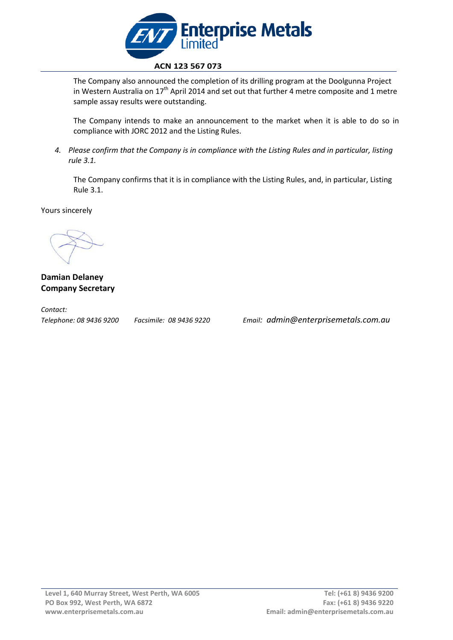

The Company also announced the completion of its drilling program at the Doolgunna Project in Western Australia on  $17<sup>th</sup>$  April 2014 and set out that further 4 metre composite and 1 metre sample assay results were outstanding.

The Company intends to make an announcement to the market when it is able to do so in compliance with JORC 2012 and the Listing Rules.

*4. Please confirm that the Company is in compliance with the Listing Rules and in particular, listing rule 3.1.*

The Company confirms that it is in compliance with the Listing Rules, and, in particular, Listing Rule 3.1.

Yours sincerely

**Damian Delaney Company Secretary**

*Contact:* 

*Telephone: 08 9436 9200 Facsimile: 08 9436 9220 Email: admin@enterprisemetals.com.au*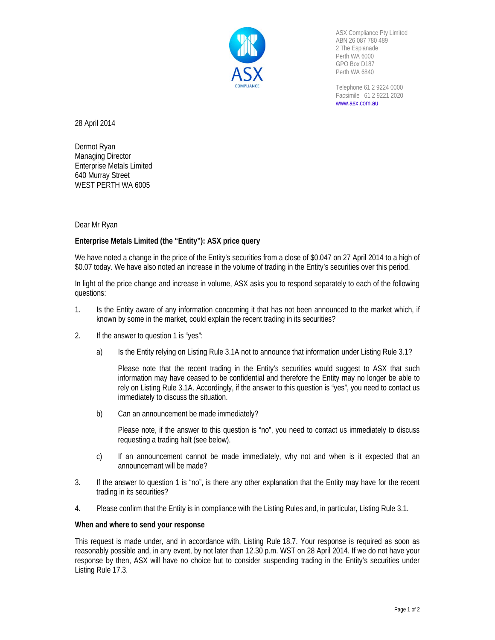

ASX Compliance Pty Limited ABN 26 087 780 489 2 The Esplanade Perth WA 6000 GPO Box D187 Perth WA 6840

Telephone 61 2 9224 0000 Facsimile 61 2 9221 2020 www.asx.com.au

28 April 2014

Dermot Ryan Managing Director Enterprise Metals Limited 640 Murray Street WEST PERTH WA 6005

Dear Mr Ryan

# **Enterprise Metals Limited (the "Entity"): ASX price query**

We have noted a change in the price of the Entity's securities from a close of \$0.047 on 27 April 2014 to a high of \$0.07 today. We have also noted an increase in the volume of trading in the Entity's securities over this period.

In light of the price change and increase in volume, ASX asks you to respond separately to each of the following questions:

- 1. Is the Entity aware of any information concerning it that has not been announced to the market which, if known by some in the market, could explain the recent trading in its securities?
- 2. If the answer to question 1 is "yes":
	- a) Is the Entity relying on Listing Rule 3.1A not to announce that information under Listing Rule 3.1?

Please note that the recent trading in the Entity's securities would suggest to ASX that such information may have ceased to be confidential and therefore the Entity may no longer be able to rely on Listing Rule 3.1A. Accordingly, if the answer to this question is "yes", you need to contact us immediately to discuss the situation.

b) Can an announcement be made immediately?

Please note, if the answer to this question is "no", you need to contact us immediately to discuss requesting a trading halt (see below).

- c) If an announcement cannot be made immediately, why not and when is it expected that an announcemant will be made?
- 3. If the answer to question 1 is "no", is there any other explanation that the Entity may have for the recent trading in its securities?
- 4. Please confirm that the Entity is in compliance with the Listing Rules and, in particular, Listing Rule 3.1.

### **When and where to send your response**

This request is made under, and in accordance with, Listing Rule 18.7. Your response is required as soon as reasonably possible and, in any event, by not later than 12.30 p.m. WST on 28 April 2014. If we do not have your response by then, ASX will have no choice but to consider suspending trading in the Entity's securities under Listing Rule 17.3.